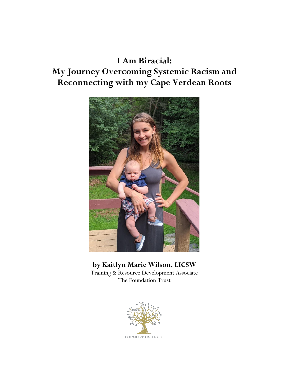## **I Am Biracial: My Journey Overcoming Systemic Racism and Reconnecting with my Cape Verdean Roots**



## **by Kaitlyn Marie Wilson, LICSW**

Training & Resource Development Associate The Foundation Trust

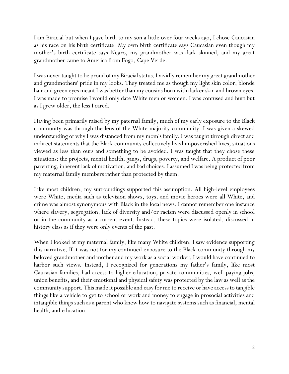I am Biracial but when I gave birth to my son a little over four weeks ago, I chose Caucasian as his race on his birth certificate. My own birth certificate says Caucasian even though my mother's birth certificate says Negro, my grandmother was dark skinned, and my great grandmother came to America from Fogo, Cape Verde.

I was never taught to be proud of my Biracial status. I vividly remember my great grandmother and grandmothers' pride in my looks. They treated me as though my light skin color, blonde hair and green eyes meant I was better than my cousins born with darker skin and brown eyes. I was made to promise I would only date White men or women. I was confused and hurt but as I grew older, the less I cared.

Having been primarily raised by my paternal family, much of my early exposure to the Black community was through the lens of the White majority community. I was given a skewed understanding of why I was distanced from my mom's family. I was taught through direct and indirect statements that the Black community collectively lived impoverished lives, situations viewed as less than ours and something to be avoided. I was taught that they chose these situations: the projects, mental health, gangs, drugs, poverty, and welfare. A product of poor parenting, inherent lack of motivation, and bad choices. I assumed I was being protected from my maternal family members rather than protected by them.

Like most children, my surroundings supported this assumption. All high-level employees were White, media such as television shows, toys, and movie heroes were all White, and crime was almost synonymous with Black in the local news. I cannot remember one instance where slavery, segregation, lack of diversity and/or racism were discussed openly in school or in the community as a current event. Instead, these topics were isolated, discussed in history class as if they were only events of the past.

When I looked at my maternal family, like many White children, I saw evidence supporting this narrative. If it was not for my continued exposure to the Black community through my beloved grandmother and mother and my work as a social worker, I would have continued to harbor such views. Instead, I recognized for generations my father's family, like most Caucasian families, had access to higher education, private communities, well-paying jobs, union benefits, and their emotional and physical safety was protected by the law as well as the community support. This made it possible and easy for me to receive or have access to tangible things like a vehicle to get to school or work and money to engage in prosocial activities and intangible things such as a parent who knew how to navigate systems such as financial, mental health, and education.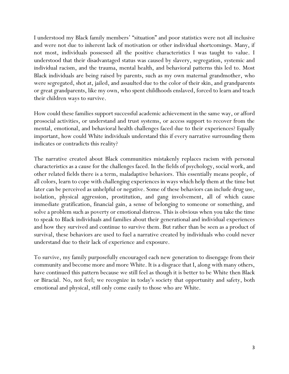I understood my Black family members' "situation" and poor statistics were not all inclusive and were not due to inherent lack of motivation or other individual shortcomings. Many, if not most, individuals possessed all the positive characteristics I was taught to value. I understood that their disadvantaged status was caused by slavery, segregation, systemic and individual racism, and the trauma, mental health, and behavioral patterns this led to. Most Black individuals are being raised by parents, such as my own maternal grandmother, who were segregated, shot at, jailed, and assaulted due to the color of their skin, and grandparents or great grandparents, like my own, who spent childhoods enslaved, forced to learn and teach their children ways to survive.

How could these families support successful academic achievement in the same way, or afford prosocial activities, or understand and trust systems, or access support to recover from the mental, emotional, and behavioral health challenges faced due to their experiences? Equally important, how could White individuals understand this if every narrative surrounding them indicates or contradicts this reality?

The narrative created about Black communities mistakenly replaces racism with personal characteristics as a cause for the challenges faced. In the fields of psychology, social work, and other related fields there is a term, maladaptive behaviors. This essentially means people, of all colors, learn to cope with challenging experiences in ways which help them at the time but later can be perceived as unhelpful or negative. Some of these behaviors can include drug use, isolation, physical aggression, prostitution, and gang involvement, all of which cause immediate gratification, financial gain, a sense of belonging to someone or something, and solve a problem such as poverty or emotional distress. This is obvious when you take the time to speak to Black individuals and families about their generational and individual experiences and how they survived and continue to survive them. But rather than be seen as a product of survival, these behaviors are used to fuel a narrative created by individuals who could never understand due to their lack of experience and exposure.

To survive, my family purposefully encouraged each new generation to disengage from their community and become more and more White. It is a disgrace that I, along with many others, have continued this pattern because we still feel as though it is better to be White then Black or Biracial. No, not feel; we recognize in today's society that opportunity and safety, both emotional and physical, still only come easily to those who are White.